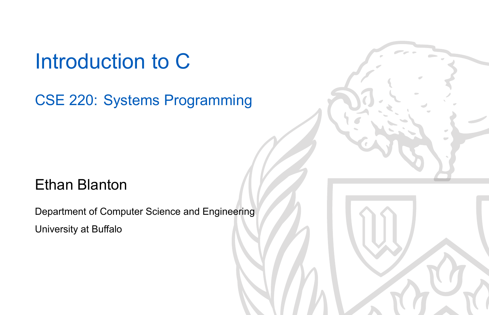Introduction to C

CSE 220: Systems Programming

### Ethan Blanton

Department of Computer Science and Engineering University at Buffalo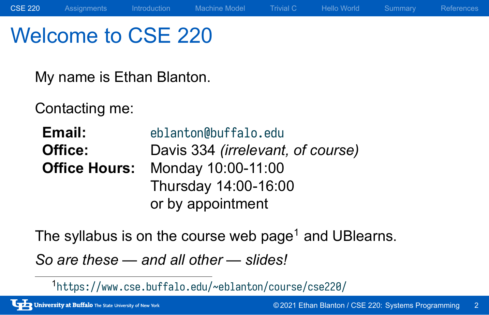## Welcome to CSE 220

My name is Ethan Blanton.

Contacting me:

**Email:** eblanton@buffalo.edu **Office:** Davis 334 *(irrelevant, of course)* **Office Hours:** Monday 10:00-11:00 Thursday 14:00-16:00 or by appointment

The syllabus is on the course web page<sup>1</sup> and UBlearns.

*So are these — and all other — slides!*

<sup>1</sup> https://www.cse.buffalo.edu/~eblanton/course/cse220/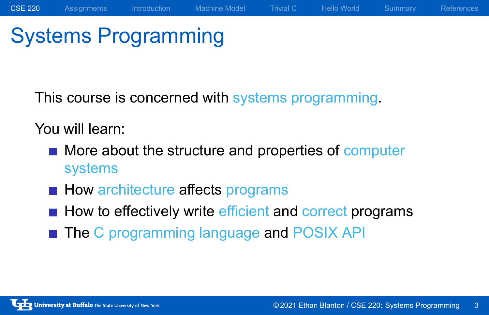# Systems Programming

This course is concerned with systems programming.

You will learn:

- **More about the structure and properties of computer** systems
- How architecture affects programs
- $\blacksquare$  How to effectively write efficient and correct programs
- The C programming language and POSIX API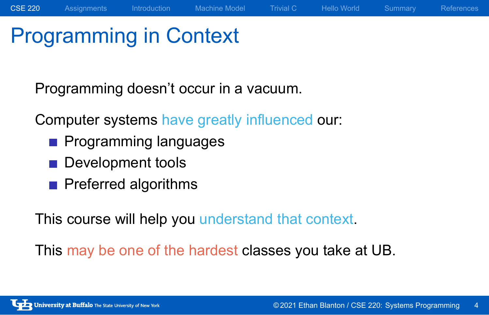# Programming in Context

Programming doesn't occur in a vacuum.

Computer systems have greatly influenced our:

- **Programming languages**
- Development tools
- Preferred algorithms

This course will help you understand that context.

This may be one of the hardest classes you take at UB.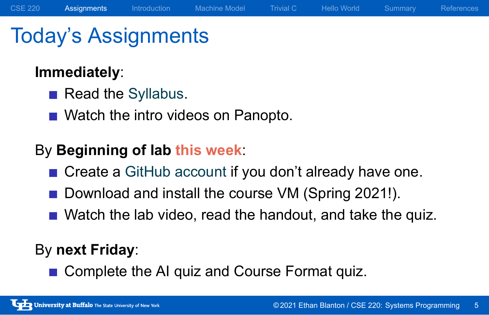## Today's Assignments

### **Immediately**:

- Read the Syllabus.
- Watch the intro videos on Panopto.

### By **Beginning of lab this week**:

- Create a GitHub account if you don't already have one.
- Download and install the course VM (Spring 2021!).
- Watch the lab video, read the handout, and take the quiz.

### By **next Friday**:

Complete the AI quiz and Course Format quiz.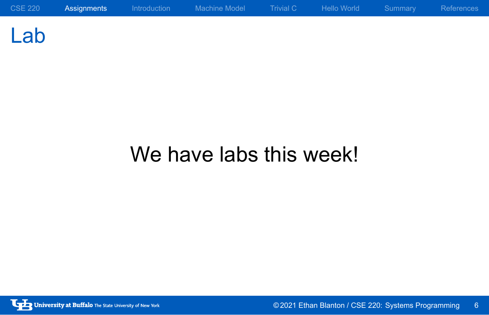Lab

# We have labs this week!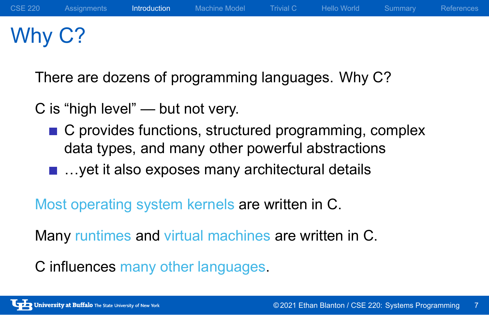# Why C?

There are dozens of programming languages. Why C?

C is "high level" — but not very.

- C provides functions, structured programming, complex data types, and many other powerful abstractions
- ...yet it also exposes many architectural details

Most operating system kernels are written in C.

Many runtimes and virtual machines are written in C.

C influences many other languages.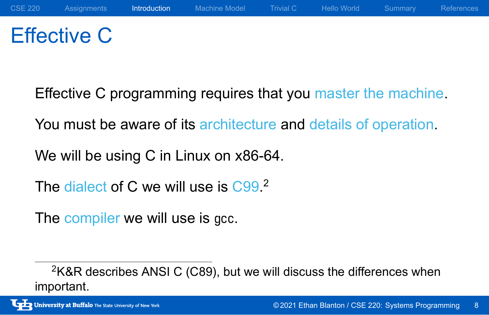# Effective C

Effective C programming requires that you master the machine.

You must be aware of its architecture and details of operation.

We will be using C in Linux on x86-64.

The dialect of C we will use is C99.<sup>2</sup>

The compiler we will use is gcc.

<sup>&</sup>lt;sup>2</sup>K&R describes ANSI C (C89), but we will discuss the differences when important.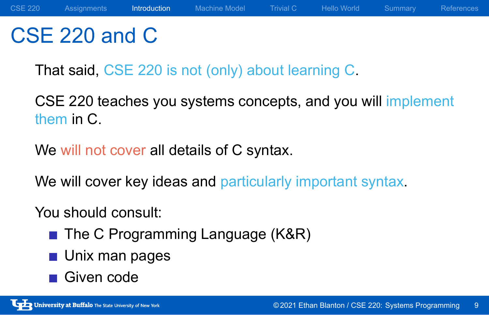## CSE 220 and C

That said, CSE 220 is not (only) about learning C.

CSE 220 teaches you systems concepts, and you will implement them in C.

We will not cover all details of C syntax.

We will cover key ideas and particularly important syntax.

### You should consult:

- The C Programming Language (K&R)
- **Unix man pages**
- Given code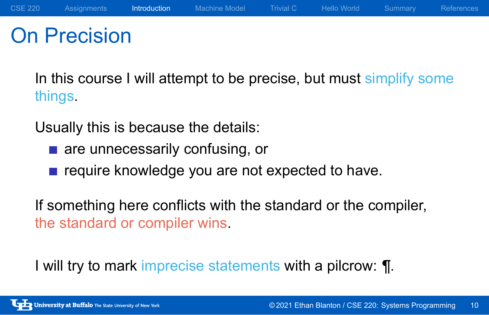## On Precision

In this course I will attempt to be precise, but must simplify some things.

Usually this is because the details:

- **a** are unnecessarily confusing, or
- require knowledge you are not expected to have.

If something here conflicts with the standard or the compiler, the standard or compiler wins.

I will try to mark imprecise statements with a pilcrow: ¶.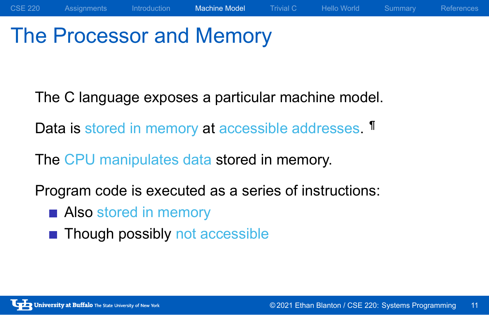# The Processor and Memory

The C language exposes a particular machine model.

Data is stored in memory at accessible addresses. **T** 

The CPU manipulates data stored in memory.

Program code is executed as a series of instructions:

- **Also stored in memory**
- Though possibly not accessible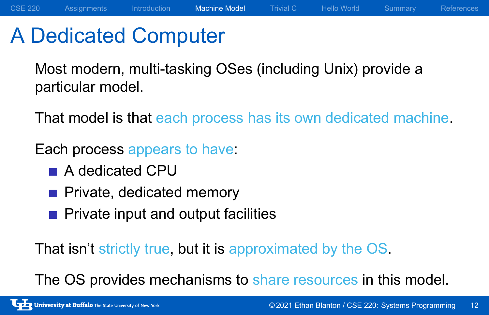## A Dedicated Computer

Most modern, multi-tasking OSes (including Unix) provide a particular model.

That model is that each process has its own dedicated machine.

Each process appears to have:

- A dedicated CPU
- Private, dedicated memory
- **Private input and output facilities**

That isn't strictly true, but it is approximated by the OS.

The OS provides mechanisms to share resources in this model.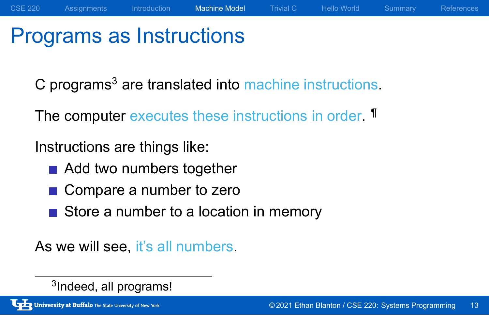# Programs as Instructions

C programs<sup>3</sup> are translated into machine instructions.

The computer executes these instructions in order. **T** 

Instructions are things like:

- Add two numbers together
- Compare a number to zero
- Store a number to a location in memory

As we will see, it's all numbers.

3 Indeed, all programs!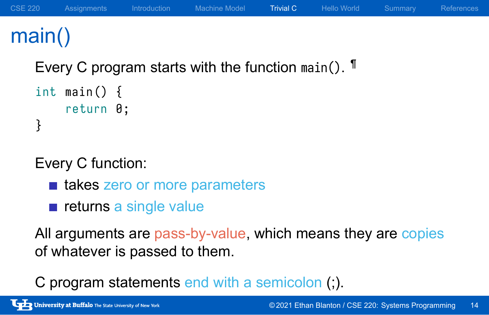## main()

Every C program starts with the function main(). <sup>¶</sup>

```
int main () {
    return 0;
}
```
Every C function:

- takes zero or more parameters
- $\blacksquare$  returns a single value

All arguments are pass-by-value, which means they are copies of whatever is passed to them.

C program statements end with a semicolon (;).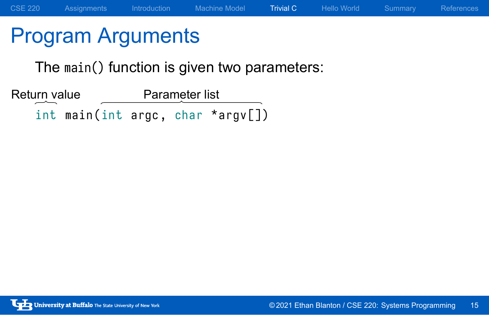# Program Arguments

The main() function is given two parameters:

int main (int argc, char \*argv[]) Return value Parameter list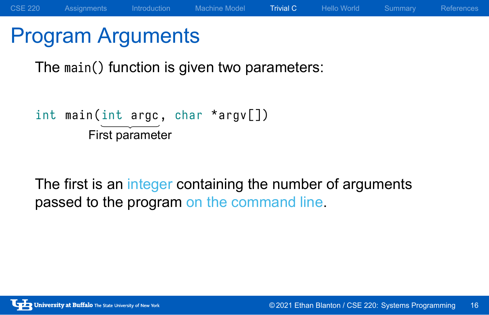# Program Arguments

The main() function is given two parameters:

```
int main(int argc, char *argv[])
       First parameter
```
The first is an integer containing the number of arguments passed to the program on the command line.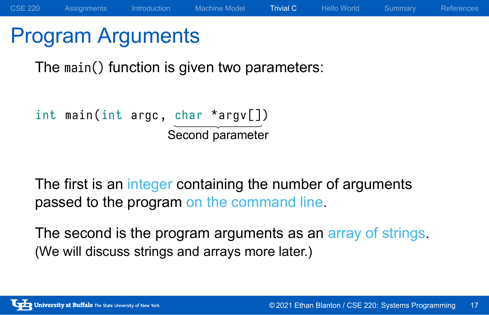## Program Arguments

The main() function is given two parameters:

```
int main (int argc, char *argv[])
                   Second parameter
```
The first is an integer containing the number of arguments passed to the program on the command line.

The second is the program arguments as an array of strings. (We will discuss strings and arrays more later.)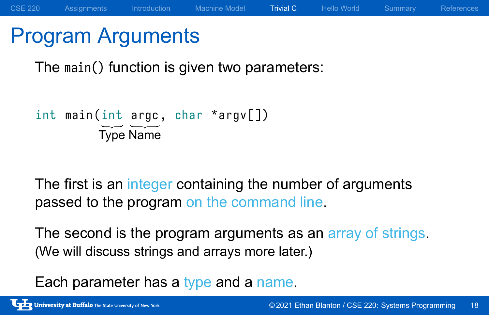### Program Arguments

The main() function is given two parameters:

```
int main(int argc, char *argv[])
        Type Name
```
The first is an integer containing the number of arguments passed to the program on the command line.

The second is the program arguments as an array of strings. (We will discuss strings and arrays more later.)

Each parameter has a type and a name.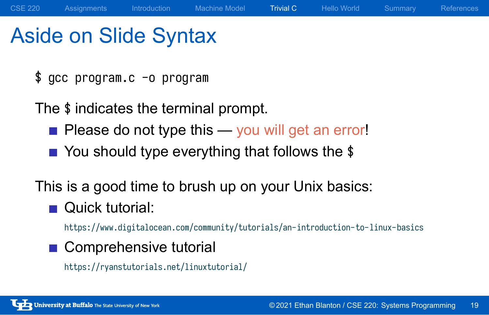# Aside on Slide Syntax

\$ gcc program.c -o program

The \$ indicates the terminal prompt.

- Please do not type this you will get an error!
- You should type everything that follows the \$

This is a good time to brush up on your Unix basics:

■ Quick tutorial:

https://www.digitalocean.com/community/tutorials/an-introduction-to-linux-basics

■ Comprehensive tutorial https://ryanstutorials.net/linuxtutorial/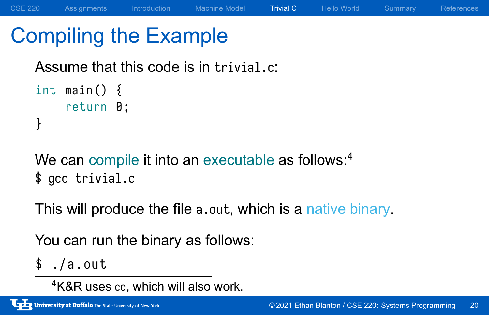# Compiling the Example

Assume that this code is in trivial.c:

```
int main () {
    return 0;
}
```
We can compile it into an executable as follows:<sup>4</sup> \$ gcc trivial.c

This will produce the file a.out, which is a native binary.

You can run the binary as follows:

 $$./a.out$ 

<sup>4</sup>K&R uses cc, which will also work.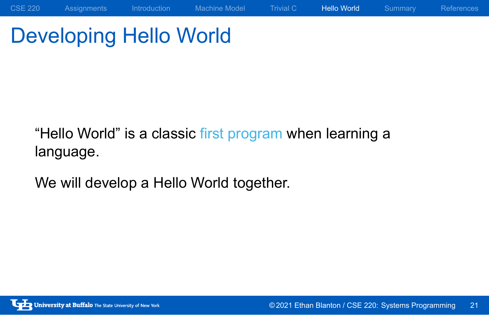# Developing Hello World

"Hello World" is a classic first program when learning a language.

We will develop a Hello World together.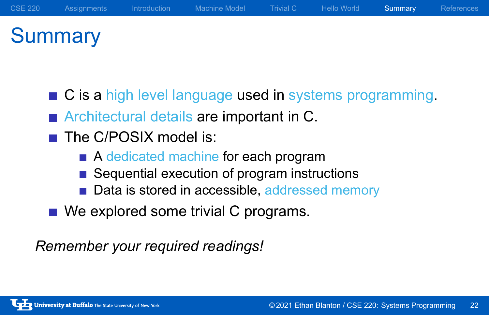# **Summary**

- C is a high level language used in systems programming.
- **Architectural details are important in C.**
- The C/POSIX model is:
	- A dedicated machine for each program
	- Sequential execution of program instructions
	- Data is stored in accessible, addressed memory
- We explored some trivial C programs.

*Remember your required readings!*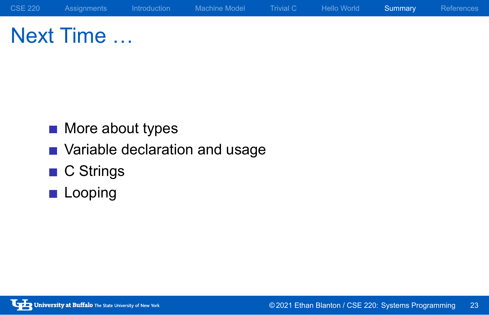Next Time …

- **More about types**
- **Nariable declaration and usage**
- C Strings
- **Looping**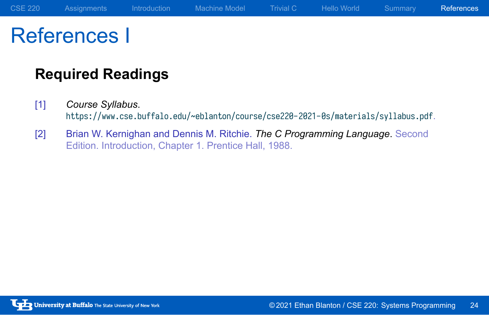# References I

### **Required Readings**

- [1] *Course Syllabus*. https://www.cse.buffalo.edu/~eblanton/course/cse220-2021-0s/materials/syllabus.pdf.
- [2] Brian W. Kernighan and Dennis M. Ritchie. *The C Programming Language*. Second Edition. Introduction, Chapter 1. Prentice Hall, 1988.